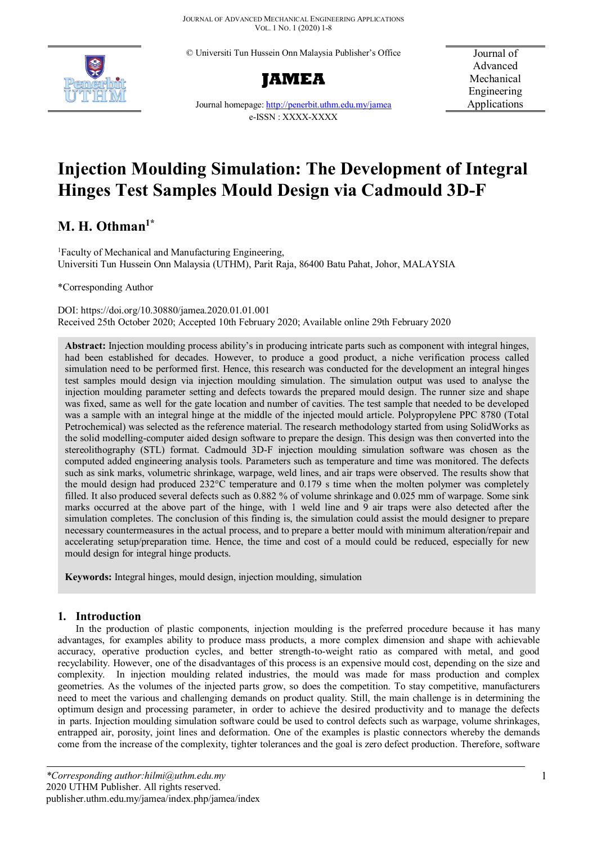© Universiti Tun Hussein Onn Malaysia Publisher's Office





Journal of Advanced Mechanical Engineering Applications

Journal homepage[: http://penerbit.uthm.edu.my/jamea](http://penerbit.uthm.edu.my/jamea) e-ISSN : XXXX-XXXX

# **Injection Moulding Simulation: The Development of Integral Hinges Test Samples Mould Design via Cadmould 3D-F**

# **M. H. Othman1\***

<sup>1</sup>Faculty of Mechanical and Manufacturing Engineering, Universiti Tun Hussein Onn Malaysia (UTHM), Parit Raja, 86400 Batu Pahat, Johor, MALAYSIA

\*Corresponding Author

DOI: https://doi.org/10.30880/jamea.2020.01.01.001 Received 25th October 2020; Accepted 10th February 2020; Available online 29th February 2020

**Abstract:** Injection moulding process ability's in producing intricate parts such as component with integral hinges, had been established for decades. However, to produce a good product, a niche verification process called simulation need to be performed first. Hence, this research was conducted for the development an integral hinges test samples mould design via injection moulding simulation. The simulation output was used to analyse the injection moulding parameter setting and defects towards the prepared mould design. The runner size and shape was fixed, same as well for the gate location and number of cavities. The test sample that needed to be developed was a sample with an integral hinge at the middle of the injected mould article. Polypropylene PPC 8780 (Total Petrochemical) was selected as the reference material. The research methodology started from using SolidWorks as the solid modelling-computer aided design software to prepare the design. This design was then converted into the stereolithography (STL) format. Cadmould 3D-F injection moulding simulation software was chosen as the computed added engineering analysis tools. Parameters such as temperature and time was monitored. The defects such as sink marks, volumetric shrinkage, warpage, weld lines, and air traps were observed. The results show that the mould design had produced 232°C temperature and 0.179 s time when the molten polymer was completely filled. It also produced several defects such as 0.882 % of volume shrinkage and 0.025 mm of warpage. Some sink marks occurred at the above part of the hinge, with 1 weld line and 9 air traps were also detected after the simulation completes. The conclusion of this finding is, the simulation could assist the mould designer to prepare necessary countermeasures in the actual process, and to prepare a better mould with minimum alteration/repair and accelerating setup/preparation time. Hence, the time and cost of a mould could be reduced, especially for new mould design for integral hinge products.

**Keywords:** Integral hinges, mould design, injection moulding, simulation

# **1. Introduction**

In the production of plastic components, injection moulding is the preferred procedure because it has many advantages, for examples ability to produce mass products, a more complex dimension and shape with achievable accuracy, operative production cycles, and better strength-to-weight ratio as compared with metal, and good recyclability. However, one of the disadvantages of this process is an expensive mould cost, depending on the size and complexity. In injection moulding related industries, the mould was made for mass production and complex geometries. As the volumes of the injected parts grow, so does the competition. To stay competitive, manufacturers need to meet the various and challenging demands on product quality. Still, the main challenge is in determining the optimum design and processing parameter, in order to achieve the desired productivity and to manage the defects in parts. Injection moulding simulation software could be used to control defects such as warpage, volume shrinkages, entrapped air, porosity, joint lines and deformation. One of the examples is plastic connectors whereby the demands come from the increase of the complexity, tighter tolerances and the goal is zero defect production. Therefore, software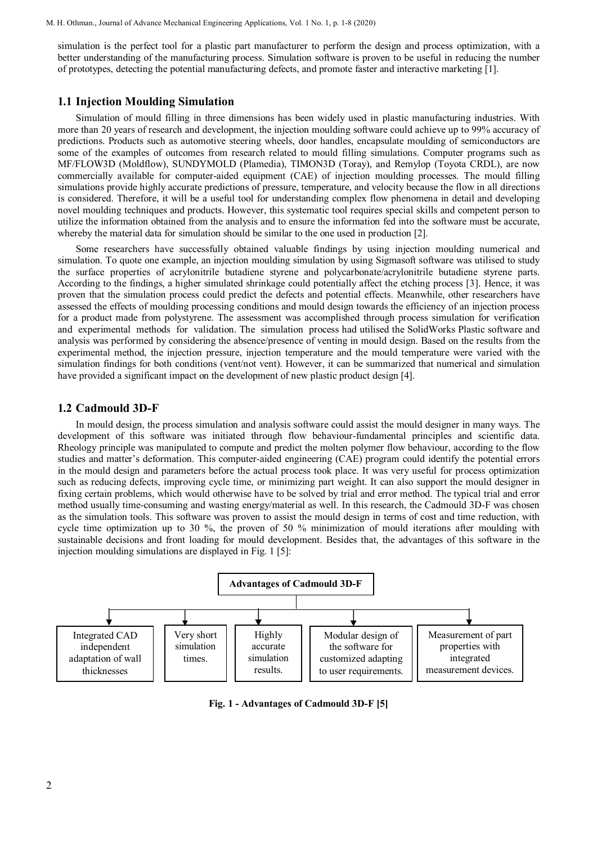simulation is the perfect tool for a plastic part manufacturer to perform the design and process optimization, with a better understanding of the manufacturing process. Simulation software is proven to be useful in reducing the number of prototypes, detecting the potential manufacturing defects, and promote faster and interactive marketing [1].

#### **1.1 Injection Moulding Simulation**

Simulation of mould filling in three dimensions has been widely used in plastic manufacturing industries. With more than 20 years of research and development, the injection moulding software could achieve up to 99% accuracy of predictions. Products such as automotive steering wheels, door handles, encapsulate moulding of semiconductors are some of the examples of outcomes from research related to mould filling simulations. Computer programs such as MF/FLOW3D (Moldflow), SUNDYMOLD (Plamedia), TIMON3D (Toray), and Remylop (Toyota CRDL), are now commercially available for computer-aided equipment (CAE) of injection moulding processes. The mould filling simulations provide highly accurate predictions of pressure, temperature, and velocity because the flow in all directions is considered. Therefore, it will be a useful tool for understanding complex flow phenomena in detail and developing novel moulding techniques and products. However, this systematic tool requires special skills and competent person to utilize the information obtained from the analysis and to ensure the information fed into the software must be accurate, whereby the material data for simulation should be similar to the one used in production [2].

Some researchers have successfully obtained valuable findings by using injection moulding numerical and simulation. To quote one example, an injection moulding simulation by using Sigmasoft software was utilised to study the surface properties of acrylonitrile butadiene styrene and polycarbonate/acrylonitrile butadiene styrene parts. According to the findings, a higher simulated shrinkage could potentially affect the etching process [3]. Hence, it was proven that the simulation process could predict the defects and potential effects. Meanwhile, other researchers have assessed the effects of moulding processing conditions and mould design towards the efficiency of an injection process for a product made from polystyrene. The assessment was accomplished through process simulation for verification and experimental methods for validation. The simulation process had utilised the SolidWorks Plastic software and analysis was performed by considering the absence/presence of venting in mould design. Based on the results from the experimental method, the injection pressure, injection temperature and the mould temperature were varied with the simulation findings for both conditions (vent/not vent). However, it can be summarized that numerical and simulation have provided a significant impact on the development of new plastic product design [4].

#### **1.2 Cadmould 3D-F**

In mould design, the process simulation and analysis software could assist the mould designer in many ways. The development of this software was initiated through flow behaviour-fundamental principles and scientific data. Rheology principle was manipulated to compute and predict the molten polymer flow behaviour, according to the flow studies and matter's deformation. This computer-aided engineering (CAE) program could identify the potential errors in the mould design and parameters before the actual process took place. It was very useful for process optimization such as reducing defects, improving cycle time, or minimizing part weight. It can also support the mould designer in fixing certain problems, which would otherwise have to be solved by trial and error method. The typical trial and error method usually time-consuming and wasting energy/material as well. In this research, the Cadmould 3D-F was chosen as the simulation tools. This software was proven to assist the mould design in terms of cost and time reduction, with cycle time optimization up to 30 %, the proven of 50 % minimization of mould iterations after moulding with sustainable decisions and front loading for mould development. Besides that, the advantages of this software in the injection moulding simulations are displayed in Fig. 1 [5]:



**Fig. 1 - Advantages of Cadmould 3D-F [5]**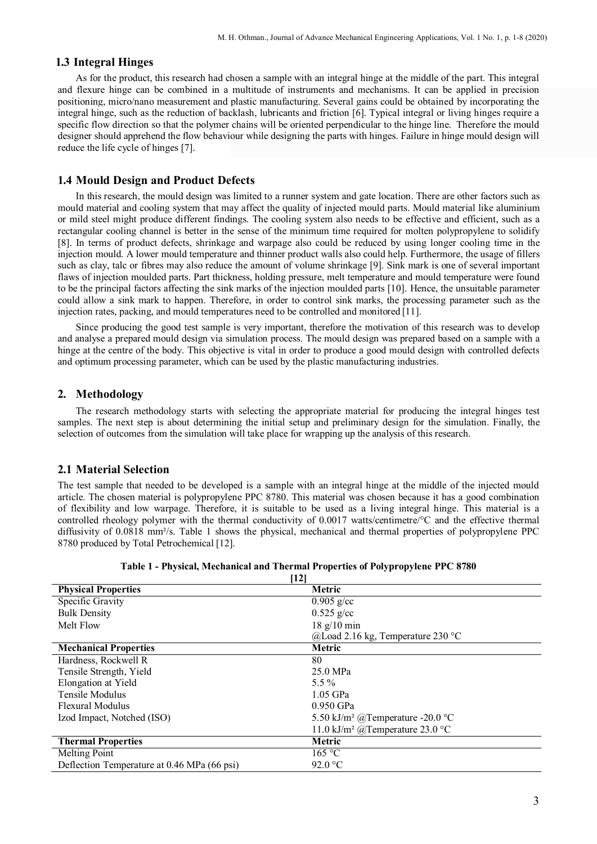# **1.3 Integral Hinges**

As for the product, this research had chosen a sample with an integral hinge at the middle of the part. This integral and flexure hinge can be combined in a multitude of instruments and mechanisms. It can be applied in precision positioning, micro/nano measurement and plastic manufacturing. Several gains could be obtained by incorporating the integral hinge, such as the reduction of backlash, lubricants and friction [6]. Typical integral or living hinges require a specific flow direction so that the polymer chains will be oriented perpendicular to the hinge line. Therefore the mould designer should apprehend the flow behaviour while designing the parts with hinges. Failure in hinge mould design will reduce the life cycle of hinges [7].

## **1.4 Mould Design and Product Defects**

In this research, the mould design was limited to a runner system and gate location. There are other factors such as mould material and cooling system that may affect the quality of injected mould parts. Mould material like aluminium or mild steel might produce different findings. The cooling system also needs to be effective and efficient, such as a rectangular cooling channel is better in the sense of the minimum time required for molten polypropylene to solidify [8]. In terms of product defects, shrinkage and warpage also could be reduced by using longer cooling time in the injection mould. A lower mould temperature and thinner product walls also could help. Furthermore, the usage of fillers such as clay, talc or fibres may also reduce the amount of volume shrinkage [9]. Sink mark is one of several important flaws of injection moulded parts. Part thickness, holding pressure, melt temperature and mould temperature were found to be the principal factors affecting the sink marks of the injection moulded parts [10]. Hence, the unsuitable parameter could allow a sink mark to happen. Therefore, in order to control sink marks, the processing parameter such as the injection rates, packing, and mould temperatures need to be controlled and monitored [11].

Since producing the good test sample is very important, therefore the motivation of this research was to develop and analyse a prepared mould design via simulation process. The mould design was prepared based on a sample with a hinge at the centre of the body. This objective is vital in order to produce a good mould design with controlled defects and optimum processing parameter, which can be used by the plastic manufacturing industries.

## **2. Methodology**

The research methodology starts with selecting the appropriate material for producing the integral hinges test samples. The next step is about determining the initial setup and preliminary design for the simulation. Finally, the selection of outcomes from the simulation will take place for wrapping up the analysis of this research.

#### **2.1 Material Selection**

The test sample that needed to be developed is a sample with an integral hinge at the middle of the injected mould article. The chosen material is polypropylene PPC 8780. This material was chosen because it has a good combination of flexibility and low warpage. Therefore, it is suitable to be used as a living integral hinge. This material is a controlled rheology polymer with the thermal conductivity of 0.0017 watts/centimetre/°C and the effective thermal diffusivity of 0.0818 mm<sup>2</sup>/s. Table 1 shows the physical, mechanical and thermal properties of polypropylene PPC 8780 produced by Total Petrochemical [12].

| [12]                                        |                                              |  |  |  |
|---------------------------------------------|----------------------------------------------|--|--|--|
| <b>Physical Properties</b>                  | Metric                                       |  |  |  |
| Specific Gravity                            | $0.905$ g/cc                                 |  |  |  |
| <b>Bulk Density</b>                         | $0.525$ g/cc                                 |  |  |  |
| Melt Flow                                   | $18 \text{ g}/10 \text{ min}$                |  |  |  |
|                                             | @Load 2.16 kg, Temperature 230 °C            |  |  |  |
| <b>Mechanical Properties</b>                | <b>Metric</b>                                |  |  |  |
| Hardness, Rockwell R                        | 80                                           |  |  |  |
| Tensile Strength, Yield                     | 25.0 MPa                                     |  |  |  |
| Elongation at Yield                         | $5.5\%$                                      |  |  |  |
| Tensile Modulus                             | $1.05$ GPa                                   |  |  |  |
| Flexural Modulus                            | $0.950$ GPa                                  |  |  |  |
| Izod Impact, Notched (ISO)                  | 5.50 kJ/m <sup>2</sup> @Temperature -20.0 °C |  |  |  |
|                                             | 11.0 kJ/m <sup>2</sup> @Temperature 23.0 °C  |  |  |  |
| <b>Thermal Properties</b>                   | Metric                                       |  |  |  |
| Melting Point                               | 165 °C                                       |  |  |  |
| Deflection Temperature at 0.46 MPa (66 psi) | 92.0 $\degree$ C                             |  |  |  |

**Table 1 - Physical, Mechanical and Thermal Properties of Polypropylene PPC 8780**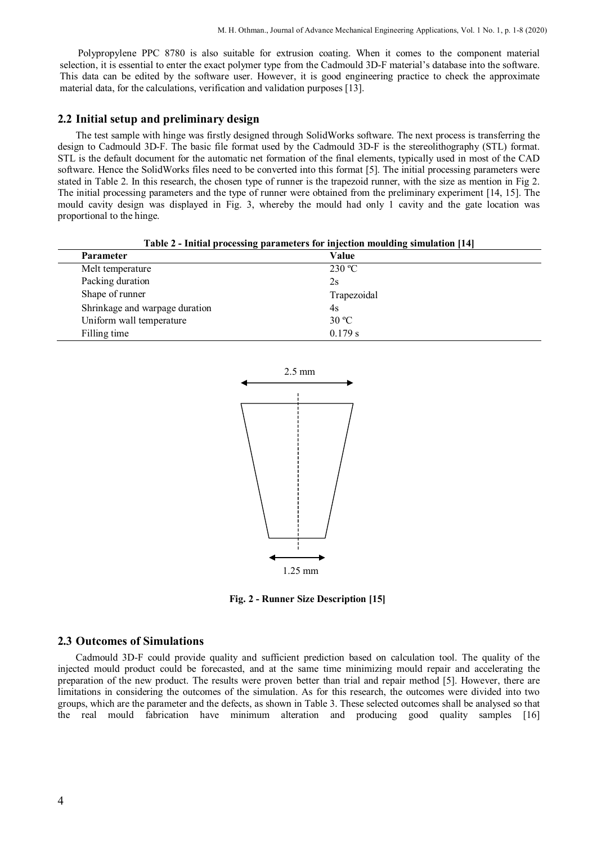Polypropylene PPC 8780 is also suitable for extrusion coating. When it comes to the component material selection, it is essential to enter the exact polymer type from the Cadmould 3D-F material's database into the software. This data can be edited by the software user. However, it is good engineering practice to check the approximate material data, for the calculations, verification and validation purposes [13].

#### **2.2 Initial setup and preliminary design**

The test sample with hinge was firstly designed through SolidWorks software. The next process is transferring the design to Cadmould 3D-F. The basic file format used by the Cadmould 3D-F is the stereolithography (STL) format. STL is the default document for the automatic net formation of the final elements, typically used in most of the CAD software. Hence the SolidWorks files need to be converted into this format [5]. The initial processing parameters were stated in Table 2. In this research, the chosen type of runner is the trapezoid runner, with the size as mention in Fig 2. The initial processing parameters and the type of runner were obtained from the preliminary experiment [14, 15]. The mould cavity design was displayed in Fig. 3, whereby the mould had only 1 cavity and the gate location was proportional to the hinge.

|                  | <b>Table 2 - Initial processing parameters for injection moulding simulation [14]</b> |
|------------------|---------------------------------------------------------------------------------------|
| Parameter        | Value                                                                                 |
| Melt temperature | 230 °C                                                                                |

| Table 2 - Initial processing parameters for injection moulding simulation [14] |
|--------------------------------------------------------------------------------|
|--------------------------------------------------------------------------------|

| Melt temperature               | 230 °C      |  |
|--------------------------------|-------------|--|
| Packing duration               | 2s          |  |
| Shape of runner                | Trapezoidal |  |
| Shrinkage and warpage duration | 4s          |  |
| Uniform wall temperature       | 30 °C       |  |
| Filling time                   | 0.179 s     |  |



**Fig. 2 - Runner Size Description [15]**

### **2.3 Outcomes of Simulations**

Cadmould 3D-F could provide quality and sufficient prediction based on calculation tool. The quality of the injected mould product could be forecasted, and at the same time minimizing mould repair and accelerating the preparation of the new product. The results were proven better than trial and repair method [5]. However, there are limitations in considering the outcomes of the simulation. As for this research, the outcomes were divided into two groups, which are the parameter and the defects, as shown in Table 3. These selected outcomes shall be analysed so that the real mould fabrication have minimum alteration and producing good quality samples [16]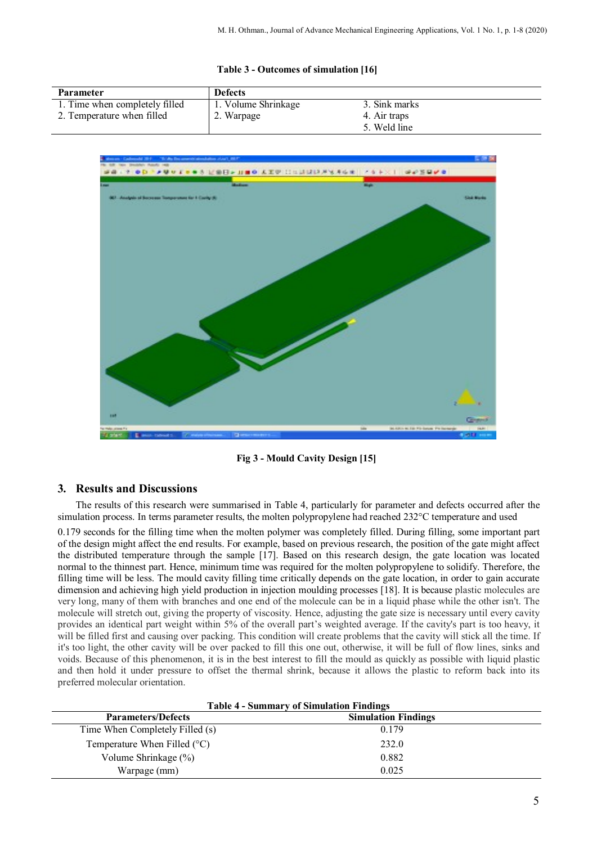#### **Table 3 - Outcomes of simulation [16]**

| <b>Parameter</b>               | <b>Defects</b>      |               |
|--------------------------------|---------------------|---------------|
| 1. Time when completely filled | 1. Volume Shrinkage | 3. Sink marks |
| 2. Temperature when filled     | 2. Warpage          | 4. Air traps  |
|                                |                     | 5. Weld line  |



**Fig 3 - Mould Cavity Design [15]**

# **3. Results and Discussions**

The results of this research were summarised in Table 4, particularly for parameter and defects occurred after the simulation process. In terms parameter results, the molten polypropylene had reached 232°C temperature and used

0.179 seconds for the filling time when the molten polymer was completely filled. During filling, some important part of the design might affect the end results. For example, based on previous research, the position of the gate might affect the distributed temperature through the sample [17]. Based on this research design, the gate location was located normal to the thinnest part. Hence, minimum time was required for the molten polypropylene to solidify. Therefore, the filling time will be less. The mould cavity filling time critically depends on the gate location, in order to gain accurate dimension and achieving high yield production in injection moulding processes [18]. It is because plastic molecules are very long, many of them with branches and one end of the molecule can be in a liquid phase while the other isn't. The molecule will stretch out, giving the property of viscosity. Hence, adjusting the gate size is necessary until every cavity provides an identical part weight within 5% of the overall part's weighted average. If the cavity's part is too heavy, it will be filled first and causing over packing. This condition will create problems that the cavity will stick all the time. If it's too light, the other cavity will be over packed to fill this one out, otherwise, it will be full of flow lines, sinks and voids. Because of this phenomenon, it is in the best interest to fill the mould as quickly as possible with liquid plastic and then hold it under pressure to offset the thermal shrink, because it allows the plastic to reform back into its preferred molecular orientation.

| <b>Table 4 - Summary of Simulation Findings</b> |                            |  |  |
|-------------------------------------------------|----------------------------|--|--|
| <b>Parameters/Defects</b>                       | <b>Simulation Findings</b> |  |  |
| Time When Completely Filled (s)                 | 0.179                      |  |  |
| Temperature When Filled $(°C)$                  | 232.0                      |  |  |
| Volume Shrinkage (%)                            | 0.882                      |  |  |
| Warpage (mm)                                    | 0.025                      |  |  |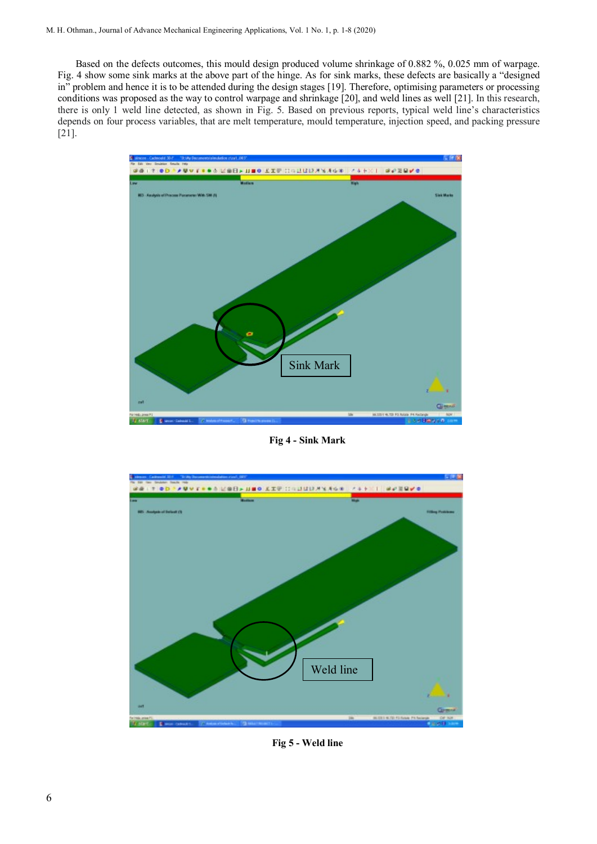Based on the defects outcomes, this mould design produced volume shrinkage of 0.882 %, 0.025 mm of warpage. Fig. 4 show some sink marks at the above part of the hinge. As for sink marks, these defects are basically a "designed in" problem and hence it is to be attended during the design stages [19]. Therefore, optimising parameters or processing conditions was proposed as the way to control warpage and shrinkage [20], and weld lines as well [21]. In this research, there is only 1 weld line detected, as shown in Fig. 5. Based on previous reports, typical weld line's characteristics depends on four process variables, that are melt temperature, mould temperature, injection speed, and packing pressure [21].



**Fig 4 - Sink Mark**



**Fig 5 - Weld line**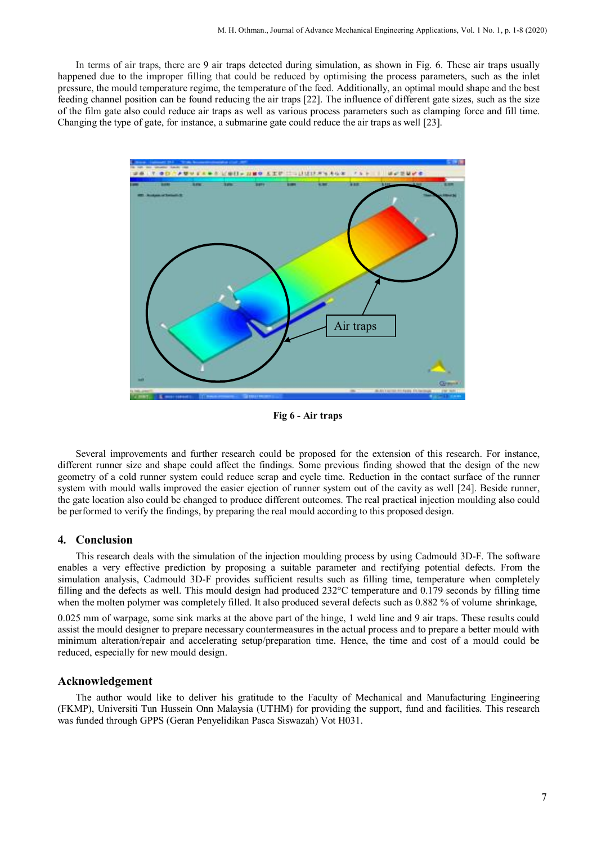In terms of air traps, there are 9 air traps detected during simulation, as shown in Fig. 6. These air traps usually happened due to the improper filling that could be reduced by optimising the process parameters, such as the inlet pressure, the mould temperature regime, the temperature of the feed. Additionally, an optimal mould shape and the best feeding channel position can be found reducing the air traps [22]. The influence of different gate sizes, such as the size of the film gate also could reduce air traps as well as various process parameters such as clamping force and fill time. Changing the type of gate, for instance, a submarine gate could reduce the air traps as well [23].



**Fig 6 - Air traps**

Several improvements and further research could be proposed for the extension of this research. For instance, different runner size and shape could affect the findings. Some previous finding showed that the design of the new geometry of a cold runner system could reduce scrap and cycle time. Reduction in the contact surface of the runner system with mould walls improved the easier ejection of runner system out of the cavity as well [24]. Beside runner, the gate location also could be changed to produce different outcomes. The real practical injection moulding also could be performed to verify the findings, by preparing the real mould according to this proposed design.

#### **4. Conclusion**

This research deals with the simulation of the injection moulding process by using Cadmould 3D-F. The software enables a very effective prediction by proposing a suitable parameter and rectifying potential defects. From the simulation analysis, Cadmould 3D-F provides sufficient results such as filling time, temperature when completely filling and the defects as well. This mould design had produced 232°C temperature and 0.179 seconds by filling time when the molten polymer was completely filled. It also produced several defects such as 0.882 % of volume shrinkage,

0.025 mm of warpage, some sink marks at the above part of the hinge, 1 weld line and 9 air traps. These results could assist the mould designer to prepare necessary countermeasures in the actual process and to prepare a better mould with minimum alteration/repair and accelerating setup/preparation time. Hence, the time and cost of a mould could be reduced, especially for new mould design.

#### **Acknowledgement**

The author would like to deliver his gratitude to the Faculty of Mechanical and Manufacturing Engineering (FKMP), Universiti Tun Hussein Onn Malaysia (UTHM) for providing the support, fund and facilities. This research was funded through GPPS (Geran Penyelidikan Pasca Siswazah) Vot H031.